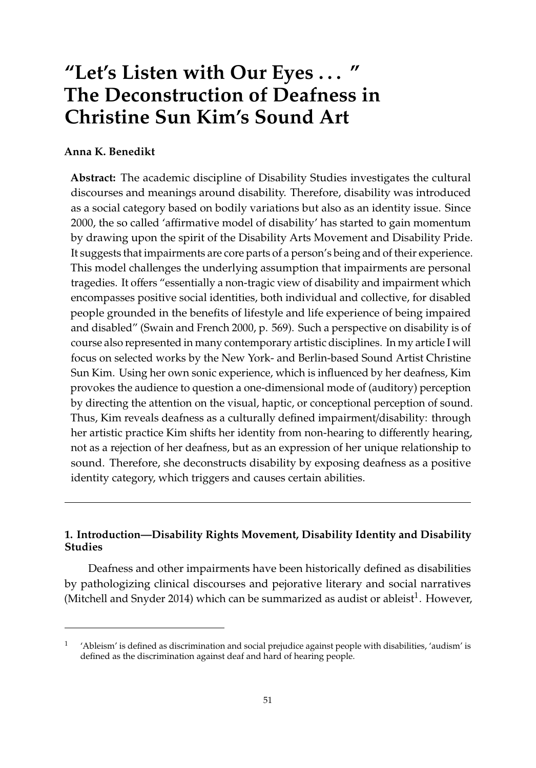# **"Let's Listen with Our Eyes** . . . **" The Deconstruction of Deafness in Christine Sun Kim's Sound Art**

## **Anna K. Benedikt**

**Abstract:** The academic discipline of Disability Studies investigates the cultural discourses and meanings around disability. Therefore, disability was introduced as a social category based on bodily variations but also as an identity issue. Since 2000, the so called 'affirmative model of disability' has started to gain momentum by drawing upon the spirit of the Disability Arts Movement and Disability Pride. It suggests that impairments are core parts of a person's being and of their experience. This model challenges the underlying assumption that impairments are personal tragedies. It offers "essentially a non-tragic view of disability and impairment which encompasses positive social identities, both individual and collective, for disabled people grounded in the benefits of lifestyle and life experience of being impaired and disabled" (Swain and French 2000, p. 569). Such a perspective on disability is of course also represented in many contemporary artistic disciplines. In my article I will focus on selected works by the New York- and Berlin-based Sound Artist Christine Sun Kim. Using her own sonic experience, which is influenced by her deafness, Kim provokes the audience to question a one-dimensional mode of (auditory) perception by directing the attention on the visual, haptic, or conceptional perception of sound. Thus, Kim reveals deafness as a culturally defined impairment/disability: through her artistic practice Kim shifts her identity from non-hearing to differently hearing, not as a rejection of her deafness, but as an expression of her unique relationship to sound. Therefore, she deconstructs disability by exposing deafness as a positive identity category, which triggers and causes certain abilities.

## **1. Introduction—Disability Rights Movement, Disability Identity and Disability Studies**

Deafness and other impairments have been historically defined as disabilities by pathologizing clinical discourses and pejorative literary and social narratives [\(Mitchell and Snyder](#page-9-0) [2014\)](#page-9-0) which can be summarized as audist or ableist $^1$ . However,

<sup>1</sup> 'Ableism' is defined as discrimination and social prejudice against people with disabilities, 'audism' is defined as the discrimination against deaf and hard of hearing people.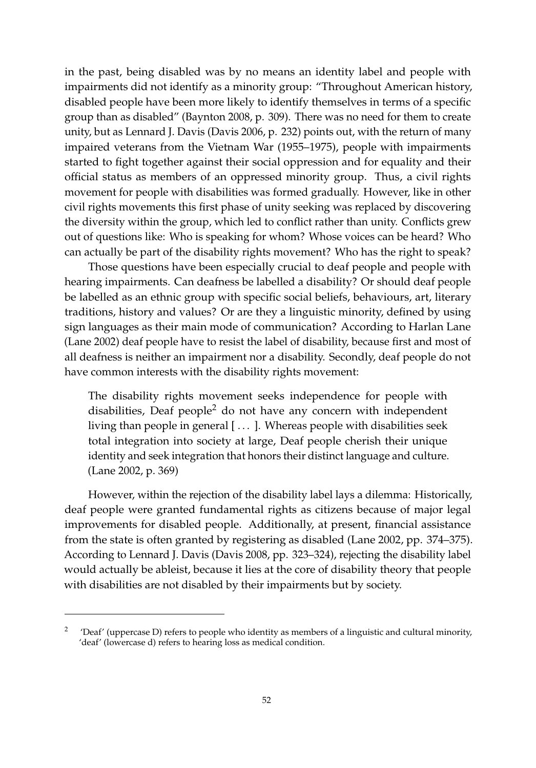in the past, being disabled was by no means an identity label and people with impairments did not identify as a minority group: "Throughout American history, disabled people have been more likely to identify themselves in terms of a specific group than as disabled" [\(Baynton](#page-8-0) [2008,](#page-8-0) p. 309). There was no need for them to create unity, but as Lennard J. Davis [\(Davis](#page-8-1) [2006,](#page-8-1) p. 232) points out, with the return of many impaired veterans from the Vietnam War (1955–1975), people with impairments started to fight together against their social oppression and for equality and their official status as members of an oppressed minority group. Thus, a civil rights movement for people with disabilities was formed gradually. However, like in other civil rights movements this first phase of unity seeking was replaced by discovering the diversity within the group, which led to conflict rather than unity. Conflicts grew out of questions like: Who is speaking for whom? Whose voices can be heard? Who can actually be part of the disability rights movement? Who has the right to speak?

Those questions have been especially crucial to deaf people and people with hearing impairments. Can deafness be labelled a disability? Or should deaf people be labelled as an ethnic group with specific social beliefs, behaviours, art, literary traditions, history and values? Or are they a linguistic minority, defined by using sign languages as their main mode of communication? According to Harlan Lane [\(Lane](#page-9-1) [2002\)](#page-9-1) deaf people have to resist the label of disability, because first and most of all deafness is neither an impairment nor a disability. Secondly, deaf people do not have common interests with the disability rights movement:

The disability rights movement seeks independence for people with disabilities, Deaf people<sup>2</sup> do not have any concern with independent living than people in general [...]. Whereas people with disabilities seek total integration into society at large, Deaf people cherish their unique identity and seek integration that honors their distinct language and culture. [\(Lane](#page-9-1) [2002,](#page-9-1) p. 369)

However, within the rejection of the disability label lays a dilemma: Historically, deaf people were granted fundamental rights as citizens because of major legal improvements for disabled people. Additionally, at present, financial assistance from the state is often granted by registering as disabled [\(Lane](#page-9-1) [2002,](#page-9-1) pp. 374–375). According to Lennard J. Davis [\(Davis](#page-8-2) [2008,](#page-8-2) pp. 323–324), rejecting the disability label would actually be ableist, because it lies at the core of disability theory that people with disabilities are not disabled by their impairments but by society.

<sup>2</sup> 'Deaf' (uppercase D) refers to people who identity as members of a linguistic and cultural minority, 'deaf' (lowercase d) refers to hearing loss as medical condition.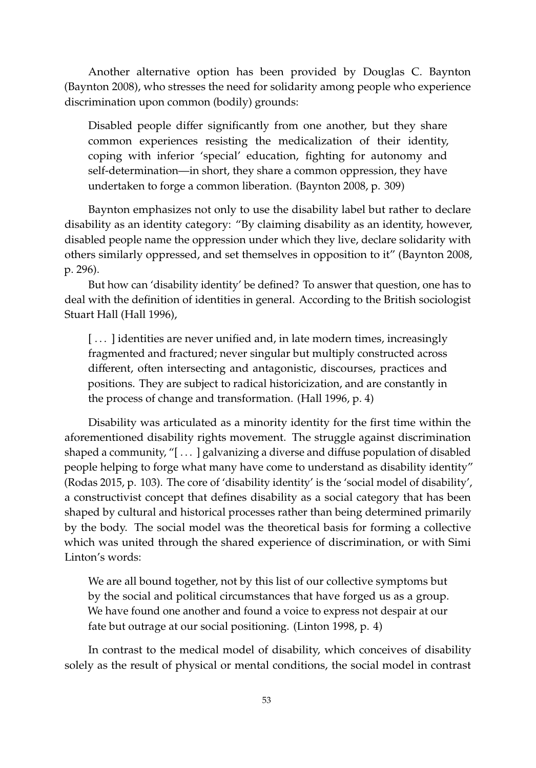Another alternative option has been provided by Douglas C. Baynton [\(Baynton](#page-8-0) [2008\)](#page-8-0), who stresses the need for solidarity among people who experience discrimination upon common (bodily) grounds:

Disabled people differ significantly from one another, but they share common experiences resisting the medicalization of their identity, coping with inferior 'special' education, fighting for autonomy and self-determination—in short, they share a common oppression, they have undertaken to forge a common liberation. [\(Baynton](#page-8-0) [2008,](#page-8-0) p. 309)

Baynton emphasizes not only to use the disability label but rather to declare disability as an identity category: "By claiming disability as an identity, however, disabled people name the oppression under which they live, declare solidarity with others similarly oppressed, and set themselves in opposition to it" [\(Baynton](#page-8-0) [2008,](#page-8-0) p. 296).

But how can 'disability identity' be defined? To answer that question, one has to deal with the definition of identities in general. According to the British sociologist Stuart Hall [\(Hall](#page-8-3) [1996\)](#page-8-3),

[...] identities are never unified and, in late modern times, increasingly fragmented and fractured; never singular but multiply constructed across different, often intersecting and antagonistic, discourses, practices and positions. They are subject to radical historicization, and are constantly in the process of change and transformation. [\(Hall](#page-8-3) [1996,](#page-8-3) p. 4)

Disability was articulated as a minority identity for the first time within the aforementioned disability rights movement. The struggle against discrimination shaped a community, "[ . . . ] galvanizing a diverse and diffuse population of disabled people helping to forge what many have come to understand as disability identity" [\(Rodas](#page-9-2) [2015,](#page-9-2) p. 103). The core of 'disability identity' is the 'social model of disability', a constructivist concept that defines disability as a social category that has been shaped by cultural and historical processes rather than being determined primarily by the body. The social model was the theoretical basis for forming a collective which was united through the shared experience of discrimination, or with Simi Linton's words:

We are all bound together, not by this list of our collective symptoms but by the social and political circumstances that have forged us as a group. We have found one another and found a voice to express not despair at our fate but outrage at our social positioning. [\(Linton](#page-9-3) [1998,](#page-9-3) p. 4)

In contrast to the medical model of disability, which conceives of disability solely as the result of physical or mental conditions, the social model in contrast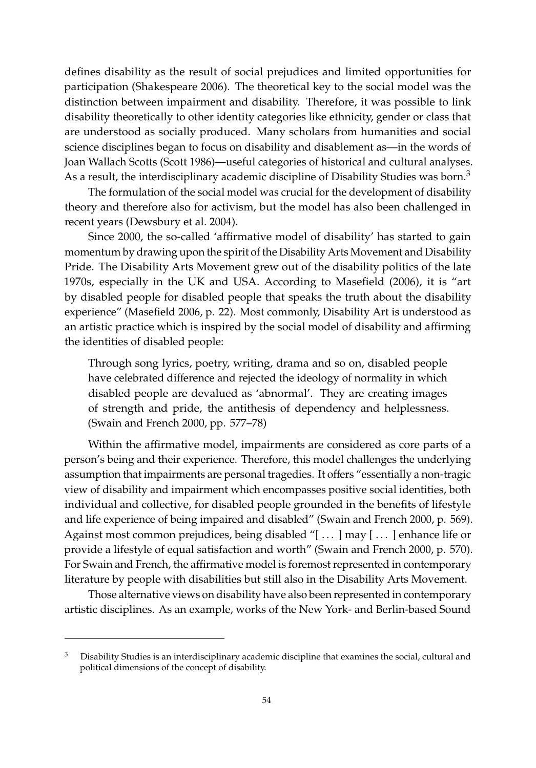defines disability as the result of social prejudices and limited opportunities for participation [\(Shakespeare](#page-9-4) [2006\)](#page-9-4). The theoretical key to the social model was the distinction between impairment and disability. Therefore, it was possible to link disability theoretically to other identity categories like ethnicity, gender or class that are understood as socially produced. Many scholars from humanities and social science disciplines began to focus on disability and disablement as—in the words of Joan Wallach Scotts [\(Scott](#page-9-5) [1986\)](#page-9-5)—useful categories of historical and cultural analyses. As a result, the interdisciplinary academic discipline of Disability Studies was born.<sup>3</sup>

The formulation of the social model was crucial for the development of disability theory and therefore also for activism, but the model has also been challenged in recent years [\(Dewsbury et al.](#page-8-4) [2004\)](#page-8-4).

Since 2000, the so-called 'affirmative model of disability' has started to gain momentum by drawing upon the spirit of the Disability Arts Movement and Disability Pride. The Disability Arts Movement grew out of the disability politics of the late 1970s, especially in the UK and USA. According to [Masefield](#page-9-6) [\(2006\)](#page-9-6), it is "art by disabled people for disabled people that speaks the truth about the disability experience" [\(Masefield](#page-9-6) [2006,](#page-9-6) p. 22). Most commonly, Disability Art is understood as an artistic practice which is inspired by the social model of disability and affirming the identities of disabled people:

Through song lyrics, poetry, writing, drama and so on, disabled people have celebrated difference and rejected the ideology of normality in which disabled people are devalued as 'abnormal'. They are creating images of strength and pride, the antithesis of dependency and helplessness. [\(Swain and French](#page-9-7) [2000,](#page-9-7) pp. 577–78)

Within the affirmative model, impairments are considered as core parts of a person's being and their experience. Therefore, this model challenges the underlying assumption that impairments are personal tragedies. It offers "essentially a non-tragic view of disability and impairment which encompasses positive social identities, both individual and collective, for disabled people grounded in the benefits of lifestyle and life experience of being impaired and disabled" [\(Swain and French](#page-9-7) [2000,](#page-9-7) p. 569). Against most common prejudices, being disabled "[ $\dots$ ] may [ $\dots$ ] enhance life or provide a lifestyle of equal satisfaction and worth" [\(Swain and French](#page-9-7) [2000,](#page-9-7) p. 570). For Swain and French, the affirmative model is foremost represented in contemporary literature by people with disabilities but still also in the Disability Arts Movement.

Those alternative views on disability have also been represented in contemporary artistic disciplines. As an example, works of the New York- and Berlin-based Sound

<sup>3</sup> Disability Studies is an interdisciplinary academic discipline that examines the social, cultural and political dimensions of the concept of disability.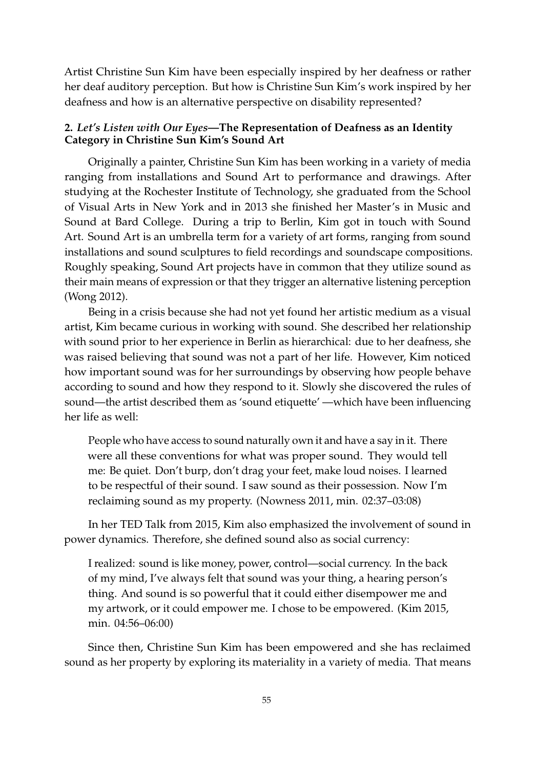Artist Christine Sun Kim have been especially inspired by her deafness or rather her deaf auditory perception. But how is Christine Sun Kim's work inspired by her deafness and how is an alternative perspective on disability represented?

## **2.** *Let's Listen with Our Eyes***—The Representation of Deafness as an Identity Category in Christine Sun Kim's Sound Art**

Originally a painter, Christine Sun Kim has been working in a variety of media ranging from installations and Sound Art to performance and drawings. After studying at the Rochester Institute of Technology, she graduated from the School of Visual Arts in New York and in 2013 she finished her Master's in Music and Sound at Bard College. During a trip to Berlin, Kim got in touch with Sound Art. Sound Art is an umbrella term for a variety of art forms, ranging from sound installations and sound sculptures to field recordings and soundscape compositions. Roughly speaking, Sound Art projects have in common that they utilize sound as their main means of expression or that they trigger an alternative listening perception [\(Wong](#page-10-0) [2012\)](#page-10-0).

Being in a crisis because she had not yet found her artistic medium as a visual artist, Kim became curious in working with sound. She described her relationship with sound prior to her experience in Berlin as hierarchical: due to her deafness, she was raised believing that sound was not a part of her life. However, Kim noticed how important sound was for her surroundings by observing how people behave according to sound and how they respond to it. Slowly she discovered the rules of sound—the artist described them as 'sound etiquette' —which have been influencing her life as well:

People who have access to sound naturally own it and have a say in it. There were all these conventions for what was proper sound. They would tell me: Be quiet. Don't burp, don't drag your feet, make loud noises. I learned to be respectful of their sound. I saw sound as their possession. Now I'm reclaiming sound as my property. [\(Nowness](#page-9-8) [2011,](#page-9-8) min. 02:37–03:08)

In her TED Talk from 2015, Kim also emphasized the involvement of sound in power dynamics. Therefore, she defined sound also as social currency:

I realized: sound is like money, power, control—social currency. In the back of my mind, I've always felt that sound was your thing, a hearing person's thing. And sound is so powerful that it could either disempower me and my artwork, or it could empower me. I chose to be empowered. [\(Kim](#page-9-9) [2015,](#page-9-9) min. 04:56–06:00)

Since then, Christine Sun Kim has been empowered and she has reclaimed sound as her property by exploring its materiality in a variety of media. That means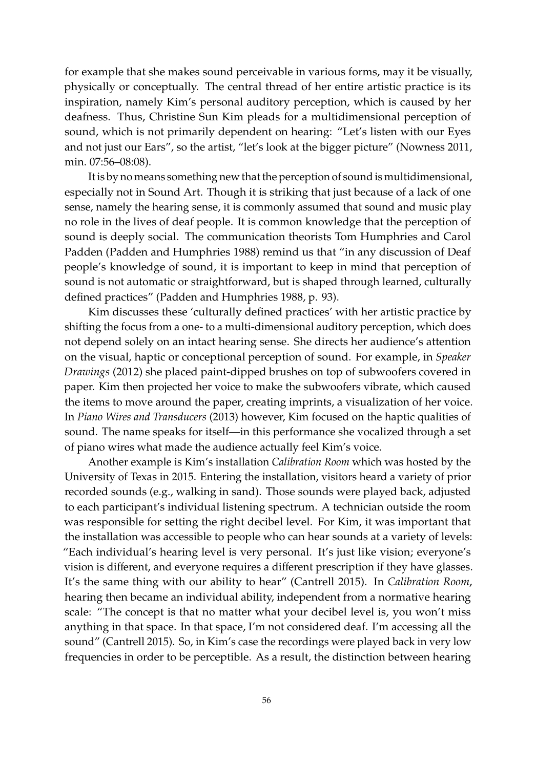for example that she makes sound perceivable in various forms, may it be visually, physically or conceptually. The central thread of her entire artistic practice is its inspiration, namely Kim's personal auditory perception, which is caused by her deafness. Thus, Christine Sun Kim pleads for a multidimensional perception of sound, which is not primarily dependent on hearing: "Let's listen with our Eyes and not just our Ears", so the artist, "let's look at the bigger picture" [\(Nowness](#page-9-8) [2011,](#page-9-8) min. 07:56–08:08).

It is by no means something new that the perception of sound is multidimensional, especially not in Sound Art. Though it is striking that just because of a lack of one sense, namely the hearing sense, it is commonly assumed that sound and music play no role in the lives of deaf people. It is common knowledge that the perception of sound is deeply social. The communication theorists Tom Humphries and Carol Padden [\(Padden and Humphries](#page-9-10) [1988\)](#page-9-10) remind us that "in any discussion of Deaf people's knowledge of sound, it is important to keep in mind that perception of sound is not automatic or straightforward, but is shaped through learned, culturally defined practices" [\(Padden and Humphries](#page-9-10) [1988,](#page-9-10) p. 93).

Kim discusses these 'culturally defined practices' with her artistic practice by shifting the focus from a one- to a multi-dimensional auditory perception, which does not depend solely on an intact hearing sense. She directs her audience's attention on the visual, haptic or conceptional perception of sound. For example, in *Speaker Drawings* (2012) she placed paint-dipped brushes on top of subwoofers covered in paper. Kim then projected her voice to make the subwoofers vibrate, which caused the items to move around the paper, creating imprints, a visualization of her voice. In *Piano Wires and Transducers* (2013) however, Kim focused on the haptic qualities of sound. The name speaks for itself—in this performance she vocalized through a set of piano wires what made the audience actually feel Kim's voice.

Another example is Kim's installation *Calibration Room* which was hosted by the University of Texas in 2015. Entering the installation, visitors heard a variety of prior recorded sounds (e.g., walking in sand). Those sounds were played back, adjusted to each participant's individual listening spectrum. A technician outside the room was responsible for setting the right decibel level. For Kim, it was important that the installation was accessible to people who can hear sounds at a variety of levels: "Each individual's hearing level is very personal. It's just like vision; everyone's vision is different, and everyone requires a different prescription if they have glasses. It's the same thing with our ability to hear" [\(Cantrell](#page-8-5) [2015\)](#page-8-5). In *Calibration Room*, hearing then became an individual ability, independent from a normative hearing scale: "The concept is that no matter what your decibel level is, you won't miss anything in that space. In that space, I'm not considered deaf. I'm accessing all the sound" [\(Cantrell](#page-8-5) [2015\)](#page-8-5). So, in Kim's case the recordings were played back in very low frequencies in order to be perceptible. As a result, the distinction between hearing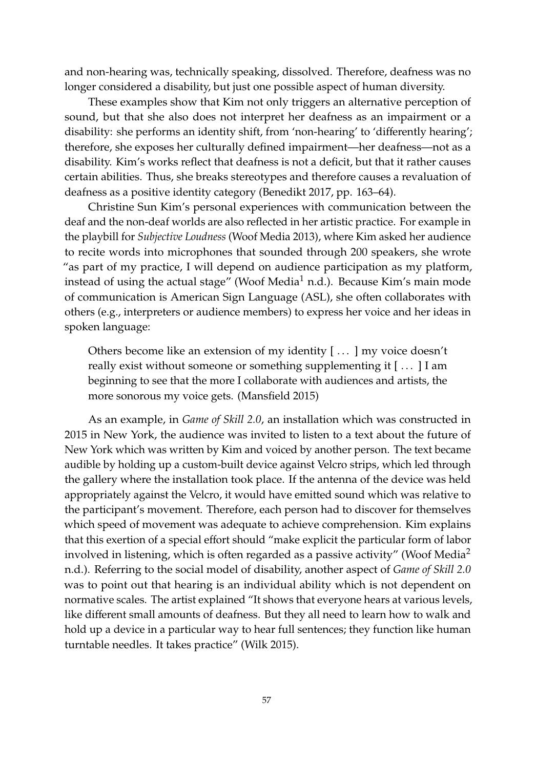and non-hearing was, technically speaking, dissolved. Therefore, deafness was no longer considered a disability, but just one possible aspect of human diversity.

These examples show that Kim not only triggers an alternative perception of sound, but that she also does not interpret her deafness as an impairment or a disability: she performs an identity shift, from 'non-hearing' to 'differently hearing'; therefore, she exposes her culturally defined impairment—her deafness—not as a disability. Kim's works reflect that deafness is not a deficit, but that it rather causes certain abilities. Thus, she breaks stereotypes and therefore causes a revaluation of deafness as a positive identity category [\(Benedikt](#page-8-6) [2017,](#page-8-6) pp. 163–64).

Christine Sun Kim's personal experiences with communication between the deaf and the non-deaf worlds are also reflected in her artistic practice. For example in the playbill for *Subjective Loudness* (Woof Media 2013), where Kim asked her audience to recite words into microphones that sounded through 200 speakers, she wrote "as part of my practice, I will depend on audience participation as my platform, instead of using the actual stage" [\(Woof Media](#page-10-1)<sup>1</sup> [n.d.\)](#page-10-1). Because Kim's main mode of communication is American Sign Language (ASL), she often collaborates with others (e.g., interpreters or audience members) to express her voice and her ideas in spoken language:

Others become like an extension of my identity [...] my voice doesn't really exist without someone or something supplementing it [...] I am beginning to see that the more I collaborate with audiences and artists, the more sonorous my voice gets. [\(Mansfield](#page-9-11) [2015\)](#page-9-11)

As an example, in *Game of Skill 2.0*, an installation which was constructed in 2015 in New York, the audience was invited to listen to a text about the future of New York which was written by Kim and voiced by another person. The text became audible by holding up a custom-built device against Velcro strips, which led through the gallery where the installation took place. If the antenna of the device was held appropriately against the Velcro, it would have emitted sound which was relative to the participant's movement. Therefore, each person had to discover for themselves which speed of movement was adequate to achieve comprehension. Kim explains that this exertion of a special effort should "make explicit the particular form of labor involved in listening, which is often regarded as a passive activity" [\(Woof Media](#page-10-2)<sup>2</sup> [n.d.\)](#page-10-2). Referring to the social model of disability, another aspect of *Game of Skill 2.0* was to point out that hearing is an individual ability which is not dependent on normative scales. The artist explained "It shows that everyone hears at various levels, like different small amounts of deafness. But they all need to learn how to walk and hold up a device in a particular way to hear full sentences; they function like human turntable needles. It takes practice" [\(Wilk](#page-10-3) [2015\)](#page-10-3).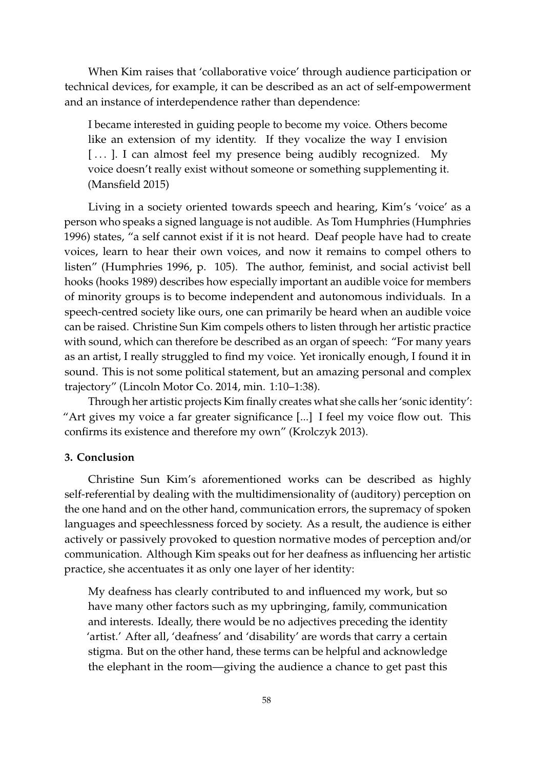When Kim raises that 'collaborative voice' through audience participation or technical devices, for example, it can be described as an act of self-empowerment and an instance of interdependence rather than dependence:

I became interested in guiding people to become my voice. Others become like an extension of my identity. If they vocalize the way I envision [...]. I can almost feel my presence being audibly recognized. My voice doesn't really exist without someone or something supplementing it. [\(Mansfield](#page-9-11) [2015\)](#page-9-11)

Living in a society oriented towards speech and hearing, Kim's 'voice' as a person who speaks a signed language is not audible. As Tom Humphries [\(Humphries](#page-8-7) [1996\)](#page-8-7) states, "a self cannot exist if it is not heard. Deaf people have had to create voices, learn to hear their own voices, and now it remains to compel others to listen" [\(Humphries](#page-8-7) [1996,](#page-8-7) p. 105). The author, feminist, and social activist bell hooks [\(hooks](#page-8-8) [1989\)](#page-8-8) describes how especially important an audible voice for members of minority groups is to become independent and autonomous individuals. In a speech-centred society like ours, one can primarily be heard when an audible voice can be raised. Christine Sun Kim compels others to listen through her artistic practice with sound, which can therefore be described as an organ of speech: "For many years as an artist, I really struggled to find my voice. Yet ironically enough, I found it in sound. This is not some political statement, but an amazing personal and complex trajectory" [\(Lincoln Motor Co.](#page-9-12) [2014,](#page-9-12) min. 1:10–1:38).

Through her artistic projects Kim finally creates what she calls her 'sonic identity': "Art gives my voice a far greater significance [...] I feel my voice flow out. This confirms its existence and therefore my own" [\(Krolczyk](#page-9-13) [2013\)](#page-9-13).

#### **3. Conclusion**

Christine Sun Kim's aforementioned works can be described as highly self-referential by dealing with the multidimensionality of (auditory) perception on the one hand and on the other hand, communication errors, the supremacy of spoken languages and speechlessness forced by society. As a result, the audience is either actively or passively provoked to question normative modes of perception and/or communication. Although Kim speaks out for her deafness as influencing her artistic practice, she accentuates it as only one layer of her identity:

My deafness has clearly contributed to and influenced my work, but so have many other factors such as my upbringing, family, communication and interests. Ideally, there would be no adjectives preceding the identity 'artist.' After all, 'deafness' and 'disability' are words that carry a certain stigma. But on the other hand, these terms can be helpful and acknowledge the elephant in the room—giving the audience a chance to get past this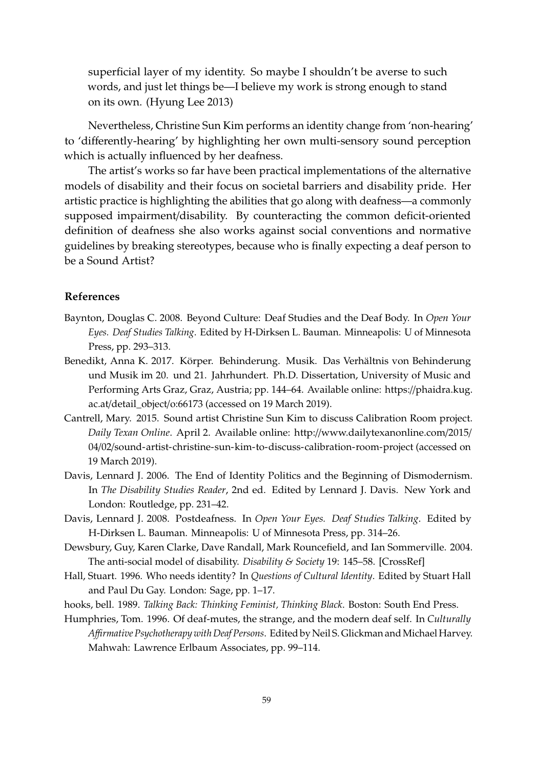superficial layer of my identity. So maybe I shouldn't be averse to such words, and just let things be—I believe my work is strong enough to stand on its own. [\(Hyung Lee](#page-9-14) [2013\)](#page-9-14)

Nevertheless, Christine Sun Kim performs an identity change from 'non-hearing' to 'differently-hearing' by highlighting her own multi-sensory sound perception which is actually influenced by her deafness.

The artist's works so far have been practical implementations of the alternative models of disability and their focus on societal barriers and disability pride. Her artistic practice is highlighting the abilities that go along with deafness—a commonly supposed impairment/disability. By counteracting the common deficit-oriented definition of deafness she also works against social conventions and normative guidelines by breaking stereotypes, because who is finally expecting a deaf person to be a Sound Artist?

#### **References**

- <span id="page-8-0"></span>Baynton, Douglas C. 2008. Beyond Culture: Deaf Studies and the Deaf Body. In *Open Your Eyes. Deaf Studies Talking*. Edited by H-Dirksen L. Bauman. Minneapolis: U of Minnesota Press, pp. 293–313.
- <span id="page-8-6"></span>Benedikt, Anna K. 2017. Körper. Behinderung. Musik. Das Verhältnis von Behinderung und Musik im 20. und 21. Jahrhundert. Ph.D. Dissertation, University of Music and Performing Arts Graz, Graz, Austria; pp. 144–64. Available online: https://[phaidra.kug.](https://phaidra.kug.ac.at/detail_object/o:66173) ac.at/[detail\\_object](https://phaidra.kug.ac.at/detail_object/o:66173)/o:66173 (accessed on 19 March 2019).
- <span id="page-8-5"></span>Cantrell, Mary. 2015. Sound artist Christine Sun Kim to discuss Calibration Room project. *Daily Texan Online*. April 2. Available online: http://[www.dailytexanonline.com](http://www.dailytexanonline.com/2015/04/02/sound-artist-christine-sun-kim-to-discuss-calibration-room-project)/2015/ 04/02/[sound-artist-christine-sun-kim-to-discuss-calibration-room-project](http://www.dailytexanonline.com/2015/04/02/sound-artist-christine-sun-kim-to-discuss-calibration-room-project) (accessed on 19 March 2019).
- <span id="page-8-1"></span>Davis, Lennard J. 2006. The End of Identity Politics and the Beginning of Dismodernism. In *The Disability Studies Reader*, 2nd ed. Edited by Lennard J. Davis. New York and London: Routledge, pp. 231–42.
- <span id="page-8-2"></span>Davis, Lennard J. 2008. Postdeafness. In *Open Your Eyes. Deaf Studies Talking*. Edited by H-Dirksen L. Bauman. Minneapolis: U of Minnesota Press, pp. 314–26.
- <span id="page-8-4"></span>Dewsbury, Guy, Karen Clarke, Dave Randall, Mark Rouncefield, and Ian Sommerville. 2004. The anti-social model of disability. *Disability & Society* 19: 145–58. [\[CrossRef\]](http://dx.doi.org/10.1080/0968759042000181776)
- <span id="page-8-3"></span>Hall, Stuart. 1996. Who needs identity? In *Questions of Cultural Identity*. Edited by Stuart Hall and Paul Du Gay. London: Sage, pp. 1–17.
- <span id="page-8-8"></span>hooks, bell. 1989. *Talking Back: Thinking Feminist, Thinking Black*. Boston: South End Press.
- <span id="page-8-7"></span>Humphries, Tom. 1996. Of deaf-mutes, the strange, and the modern deaf self. In *Culturally* Affirmative Psychotherapy with Deaf Persons. Edited by Neil S. Glickman and Michael Harvey. Mahwah: Lawrence Erlbaum Associates, pp. 99–114.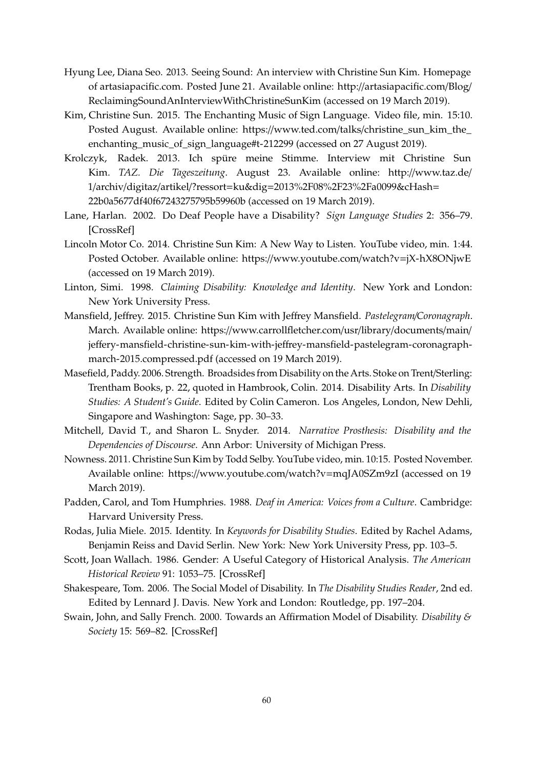- <span id="page-9-14"></span>Hyung Lee, Diana Seo. 2013. Seeing Sound: An interview with Christine Sun Kim. Homepage of artasiapacific.com. Posted June 21. Available online: http://[artasiapacific.com](http://artasiapacific.com/Blog/ReclaimingSoundAnInterviewWithChristineSunKim)/Blog/ [ReclaimingSoundAnInterviewWithChristineSunKim](http://artasiapacific.com/Blog/ReclaimingSoundAnInterviewWithChristineSunKim) (accessed on 19 March 2019).
- <span id="page-9-9"></span>Kim, Christine Sun. 2015. The Enchanting Music of Sign Language. Video file, min. 15:10. Posted August. Available online: https://www.ted.com/talks/[christine\\_sun\\_kim\\_the\\_](https://www.ted.com/talks/christine_sun_kim_the_enchanting_music_of_sign_language#t-212299) [enchanting\\_music\\_of\\_sign\\_language#t-212299](https://www.ted.com/talks/christine_sun_kim_the_enchanting_music_of_sign_language#t-212299) (accessed on 27 August 2019).
- <span id="page-9-13"></span>Krolczyk, Radek. 2013. Ich spüre meine Stimme. Interview mit Christine Sun Kim. *TAZ. Die Tageszeitung*. August 23. Available online: http://[www.taz.de](http://www.taz.de/1/archiv/digitaz/artikel/?ressort=ku&dig=2013%2F08%2F23%2Fa0099&cHash=22b0a5677df40f67243275795b59960b)/ 1/archiv/digitaz/artikel/?ressort=ku&dig=[2013%2F08%2F23%2Fa0099&cHash](http://www.taz.de/1/archiv/digitaz/artikel/?ressort=ku&dig=2013%2F08%2F23%2Fa0099&cHash=22b0a5677df40f67243275795b59960b)= [22b0a5677df40f67243275795b59960b](http://www.taz.de/1/archiv/digitaz/artikel/?ressort=ku&dig=2013%2F08%2F23%2Fa0099&cHash=22b0a5677df40f67243275795b59960b) (accessed on 19 March 2019).
- <span id="page-9-1"></span>Lane, Harlan. 2002. Do Deaf People have a Disability? *Sign Language Studies* 2: 356–79. [\[CrossRef\]](http://dx.doi.org/10.1353/sls.2002.0019)
- <span id="page-9-12"></span>Lincoln Motor Co. 2014. Christine Sun Kim: A New Way to Listen. YouTube video, min. 1:44. Posted October. Available online: https://[www.youtube.com](https://www.youtube.com/watch?v=jX-hX8ONjwE)/watch?v=jX-hX8ONjwE (accessed on 19 March 2019).
- <span id="page-9-3"></span>Linton, Simi. 1998. *Claiming Disability: Knowledge and Identity*. New York and London: New York University Press.
- <span id="page-9-11"></span>Mansfield, Jeffrey. 2015. Christine Sun Kim with Jeffrey Mansfield. *Pastelegram*/*Coronagraph*. March. Available online: https://[www.carrollfletcher.com](https://www.carrollfletcher.com/usr/library/documents/main/jeffery-mansfield-christine-sun-kim-with-jeffrey-mansfield-pastelegram-coronagraph-march-2015.compressed.pdf)/usr/library/documents/main/ jeffery-mansfield-christine-sun-kim-with-jeff[rey-mansfield-pastelegram-coronagraph](https://www.carrollfletcher.com/usr/library/documents/main/jeffery-mansfield-christine-sun-kim-with-jeffrey-mansfield-pastelegram-coronagraph-march-2015.compressed.pdf)[march-2015.compressed.pdf](https://www.carrollfletcher.com/usr/library/documents/main/jeffery-mansfield-christine-sun-kim-with-jeffrey-mansfield-pastelegram-coronagraph-march-2015.compressed.pdf) (accessed on 19 March 2019).
- <span id="page-9-6"></span>Masefield, Paddy. 2006. Strength. Broadsides from Disability on the Arts. Stoke on Trent/Sterling: Trentham Books, p. 22, quoted in Hambrook, Colin. 2014. Disability Arts. In *Disability Studies: A Student's Guide*. Edited by Colin Cameron. Los Angeles, London, New Dehli, Singapore and Washington: Sage, pp. 30–33.
- <span id="page-9-0"></span>Mitchell, David T., and Sharon L. Snyder. 2014. *Narrative Prosthesis: Disability and the Dependencies of Discourse*. Ann Arbor: University of Michigan Press.
- <span id="page-9-8"></span>Nowness. 2011. Christine Sun Kim by Todd Selby. YouTube video, min. 10:15. Posted November. Available online: https://[www.youtube.com](https://www.youtube.com/watch?v=mqJA0SZm9zI)/watch?v=mqJA0SZm9zI (accessed on 19 March 2019).
- <span id="page-9-10"></span>Padden, Carol, and Tom Humphries. 1988. *Deaf in America: Voices from a Culture*. Cambridge: Harvard University Press.
- <span id="page-9-2"></span>Rodas, Julia Miele. 2015. Identity. In *Keywords for Disability Studies*. Edited by Rachel Adams, Benjamin Reiss and David Serlin. New York: New York University Press, pp. 103–5.
- <span id="page-9-5"></span>Scott, Joan Wallach. 1986. Gender: A Useful Category of Historical Analysis. *The American Historical Review* 91: 1053–75. [\[CrossRef\]](http://dx.doi.org/10.2307/1864376)
- <span id="page-9-4"></span>Shakespeare, Tom. 2006. The Social Model of Disability. In *The Disability Studies Reader*, 2nd ed. Edited by Lennard J. Davis. New York and London: Routledge, pp. 197–204.
- <span id="page-9-7"></span>Swain, John, and Sally French. 2000. Towards an Affirmation Model of Disability. *Disability & Society* 15: 569–82. [\[CrossRef\]](http://dx.doi.org/10.1080/09687590050058189)